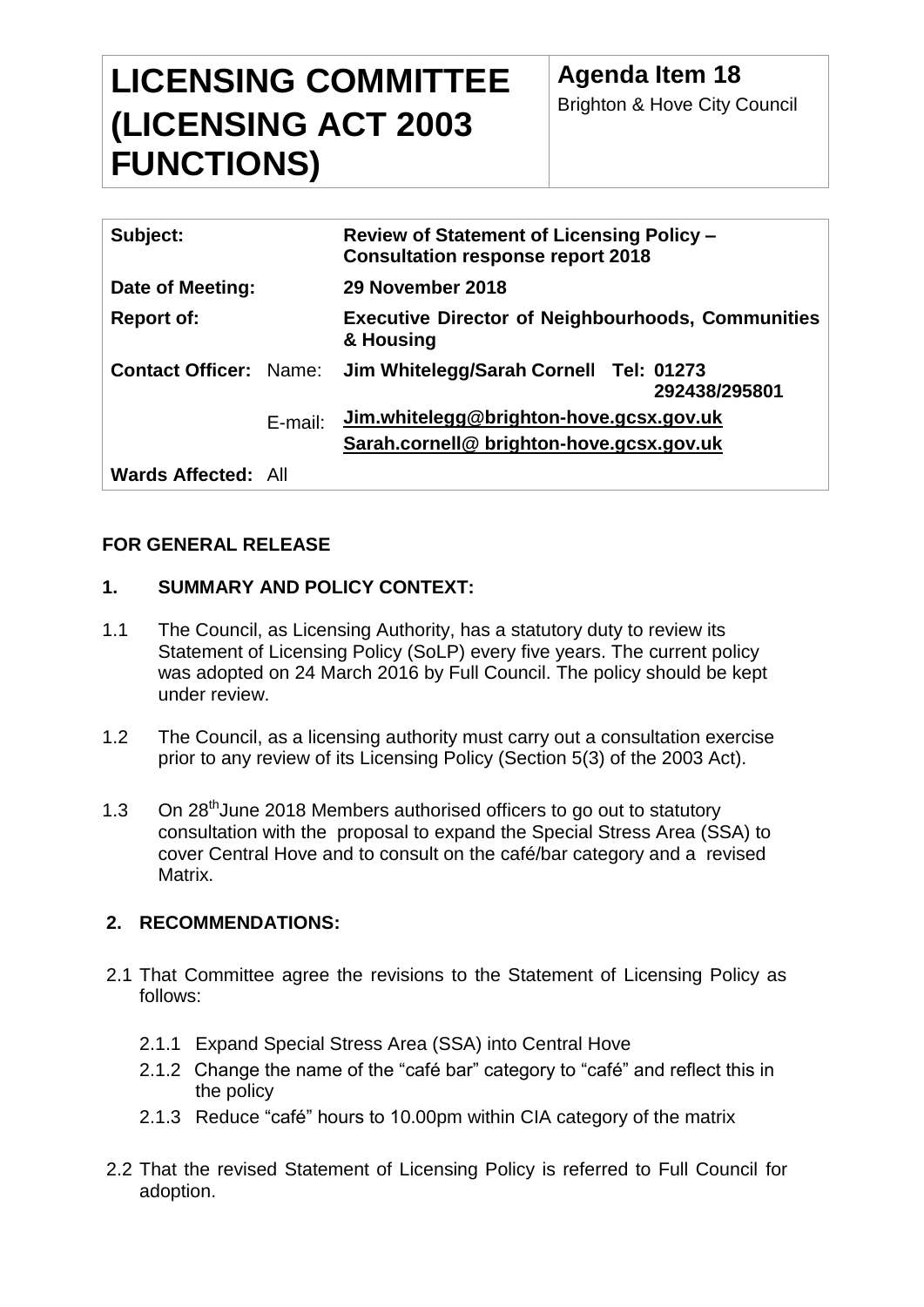# **LICENSING COMMITTEE (LICENSING ACT 2003 FUNCTIONS)**

| Subject:                      |         | <b>Review of Statement of Licensing Policy -</b><br><b>Consultation response report 2018</b> |
|-------------------------------|---------|----------------------------------------------------------------------------------------------|
| Date of Meeting:              |         | 29 November 2018                                                                             |
| <b>Report of:</b>             |         | <b>Executive Director of Neighbourhoods, Communities</b><br>& Housing                        |
| <b>Contact Officer: Name:</b> |         | Jim Whitelegg/Sarah Cornell Tel: 01273<br>292438/295801                                      |
|                               | E-mail: | Jim.whitelegg@brighton-hove.gcsx.gov.uk                                                      |
|                               |         | Sarah.cornell@ brighton-hove.gcsx.gov.uk                                                     |
| <b>Wards Affected: All</b>    |         |                                                                                              |

# **FOR GENERAL RELEASE**

# **1. SUMMARY AND POLICY CONTEXT:**

- 1.1 The Council, as Licensing Authority, has a statutory duty to review its Statement of Licensing Policy (SoLP) every five years. The current policy was adopted on 24 March 2016 by Full Council. The policy should be kept under review.
- 1.2 The Council, as a licensing authority must carry out a consultation exercise prior to any review of its Licensing Policy (Section 5(3) of the 2003 Act).
- 1.3 On 28<sup>th</sup> June 2018 Members authorised officers to go out to statutory consultation with the proposal to expand the Special Stress Area (SSA) to cover Central Hove and to consult on the café/bar category and a revised Matrix.

# **2. RECOMMENDATIONS:**

- 2.1 That Committee agree the revisions to the Statement of Licensing Policy as follows:
	- 2.1.1 Expand Special Stress Area (SSA) into Central Hove
	- 2.1.2 Change the name of the "café bar" category to "café" and reflect this in the policy
	- 2.1.3 Reduce "café" hours to 10.00pm within CIA category of the matrix
- 2.2 That the revised Statement of Licensing Policy is referred to Full Council for adoption.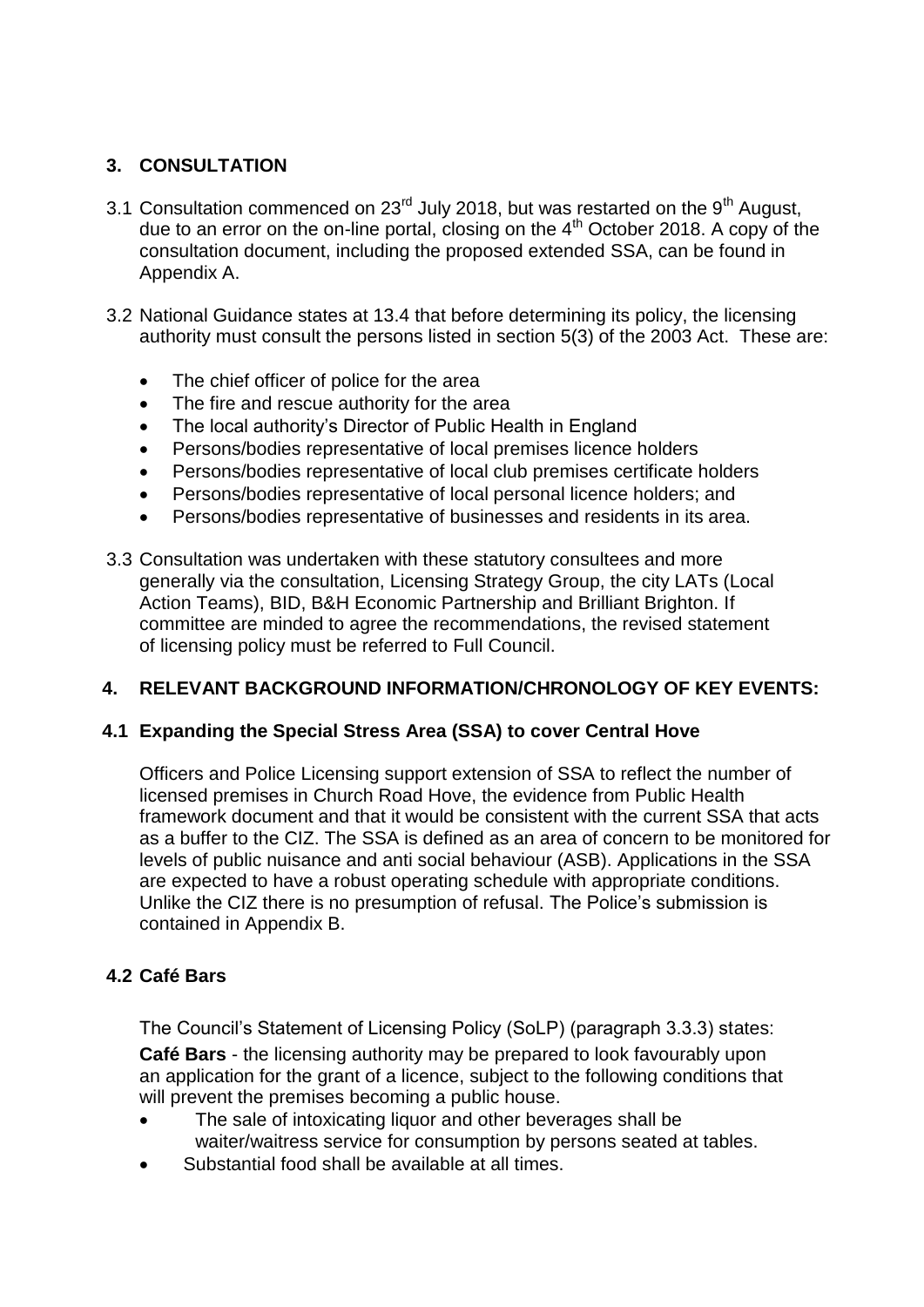# **3. CONSULTATION**

- 3.1 Consultation commenced on  $23<sup>rd</sup>$  July 2018, but was restarted on the 9<sup>th</sup> August. due to an error on the on-line portal, closing on the  $4<sup>th</sup>$  October 2018. A copy of the consultation document, including the proposed extended SSA, can be found in Appendix A.
- 3.2 National Guidance states at 13.4 that before determining its policy, the licensing authority must consult the persons listed in section 5(3) of the 2003 Act. These are:
	- The chief officer of police for the area
	- The fire and rescue authority for the area
	- The local authority's Director of Public Health in England
	- Persons/bodies representative of local premises licence holders
	- Persons/bodies representative of local club premises certificate holders
	- Persons/bodies representative of local personal licence holders; and
	- Persons/bodies representative of businesses and residents in its area.
- 3.3 Consultation was undertaken with these statutory consultees and more generally via the consultation, Licensing Strategy Group, the city LATs (Local Action Teams), BID, B&H Economic Partnership and Brilliant Brighton. If committee are minded to agree the recommendations, the revised statement of licensing policy must be referred to Full Council.

## **4. RELEVANT BACKGROUND INFORMATION/CHRONOLOGY OF KEY EVENTS:**

## **4.1 Expanding the Special Stress Area (SSA) to cover Central Hove**

Officers and Police Licensing support extension of SSA to reflect the number of licensed premises in Church Road Hove, the evidence from Public Health framework document and that it would be consistent with the current SSA that acts as a buffer to the CIZ. The SSA is defined as an area of concern to be monitored for levels of public nuisance and anti social behaviour (ASB). Applications in the SSA are expected to have a robust operating schedule with appropriate conditions. Unlike the CIZ there is no presumption of refusal. The Police's submission is contained in Appendix B.

# **4.2 Café Bars**

The Council's Statement of Licensing Policy (SoLP) (paragraph 3.3.3) states:

**Café Bars** - the licensing authority may be prepared to look favourably upon an application for the grant of a licence, subject to the following conditions that will prevent the premises becoming a public house.

- The sale of intoxicating liquor and other beverages shall be waiter/waitress service for consumption by persons seated at tables.
- Substantial food shall be available at all times.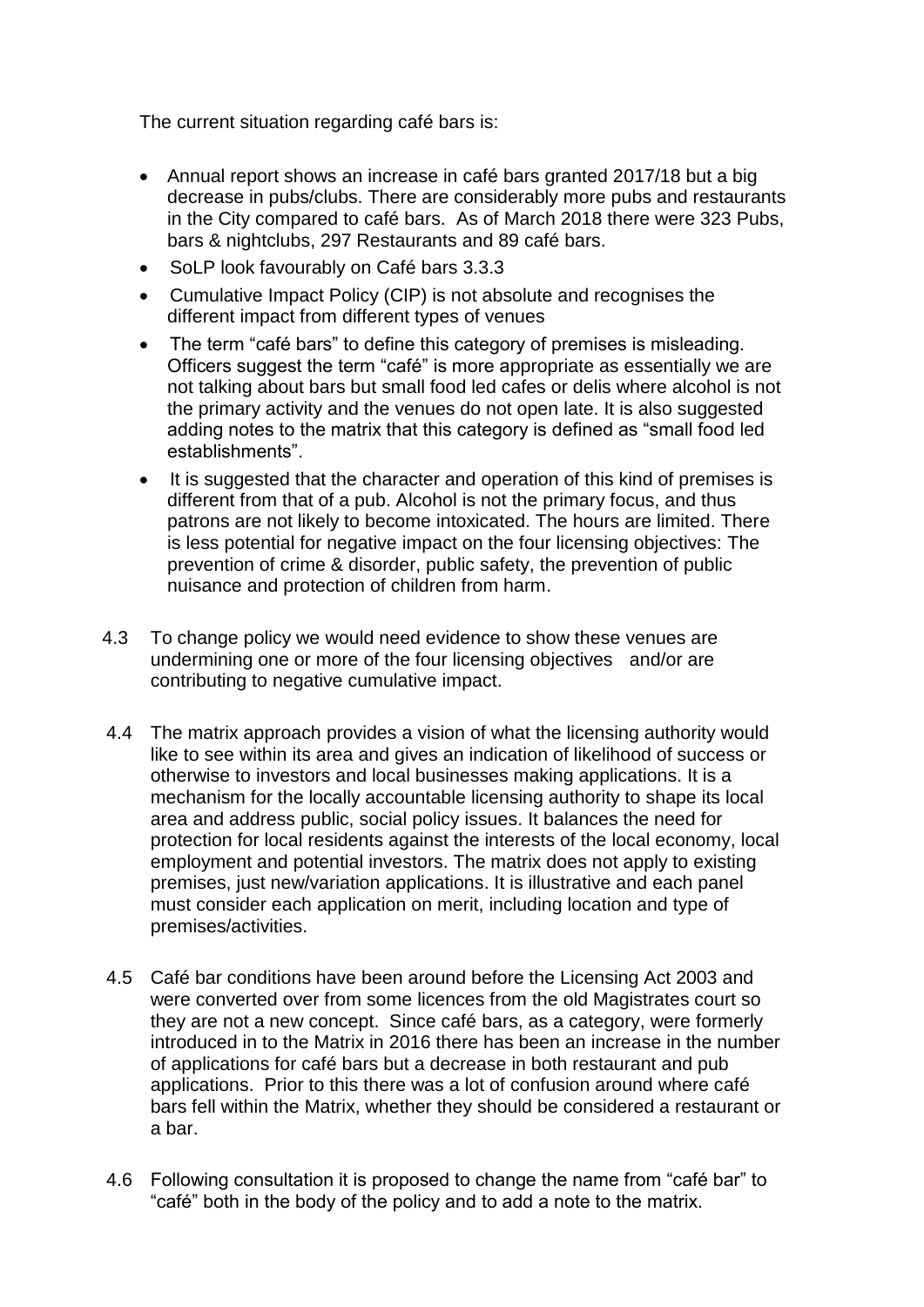The current situation regarding café bars is:

- Annual report shows an increase in café bars granted 2017/18 but a big decrease in pubs/clubs. There are considerably more pubs and restaurants in the City compared to café bars. As of March 2018 there were 323 Pubs, bars & nightclubs, 297 Restaurants and 89 café bars.
- SoLP look favourably on Café bars 3.3.3
- Cumulative Impact Policy (CIP) is not absolute and recognises the different impact from different types of venues
- The term "café bars" to define this category of premises is misleading. Officers suggest the term "café" is more appropriate as essentially we are not talking about bars but small food led cafes or delis where alcohol is not the primary activity and the venues do not open late. It is also suggested adding notes to the matrix that this category is defined as "small food led establishments".
- It is suggested that the character and operation of this kind of premises is different from that of a pub. Alcohol is not the primary focus, and thus patrons are not likely to become intoxicated. The hours are limited. There is less potential for negative impact on the four licensing objectives: The prevention of crime & disorder, public safety, the prevention of public nuisance and protection of children from harm.
- 4.3 To change policy we would need evidence to show these venues are undermining one or more of the four licensing objectives and/or are contributing to negative cumulative impact.
- 4.4 The matrix approach provides a vision of what the licensing authority would like to see within its area and gives an indication of likelihood of success or otherwise to investors and local businesses making applications. It is a mechanism for the locally accountable licensing authority to shape its local area and address public, social policy issues. It balances the need for protection for local residents against the interests of the local economy, local employment and potential investors. The matrix does not apply to existing premises, just new/variation applications. It is illustrative and each panel must consider each application on merit, including location and type of premises/activities.
- 4.5 Café bar conditions have been around before the Licensing Act 2003 and were converted over from some licences from the old Magistrates court so they are not a new concept. Since café bars, as a category, were formerly introduced in to the Matrix in 2016 there has been an increase in the number of applications for café bars but a decrease in both restaurant and pub applications. Prior to this there was a lot of confusion around where café bars fell within the Matrix, whether they should be considered a restaurant or a bar.
- 4.6 Following consultation it is proposed to change the name from "café bar" to "café" both in the body of the policy and to add a note to the matrix.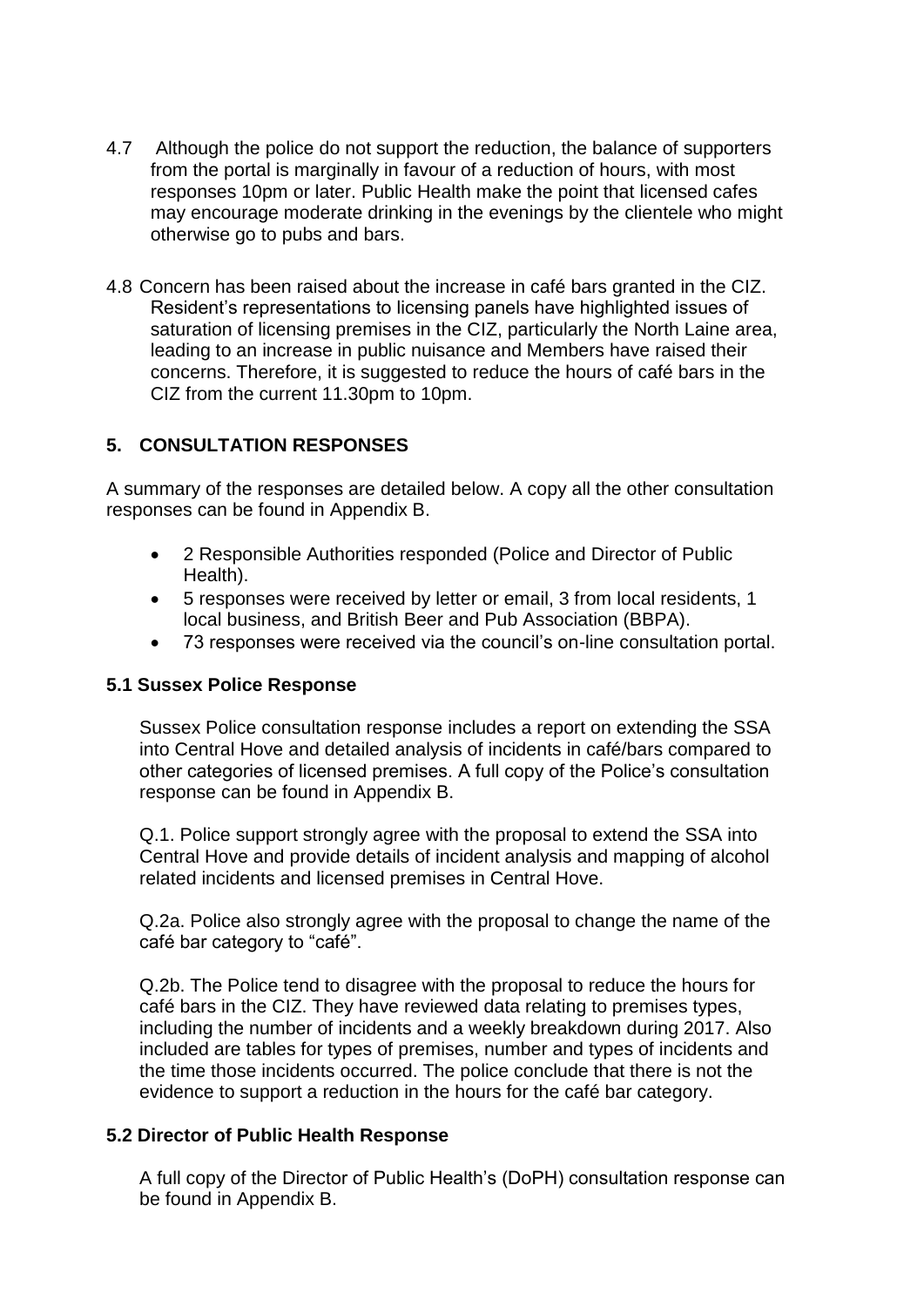- 4.7 Although the police do not support the reduction, the balance of supporters from the portal is marginally in favour of a reduction of hours, with most responses 10pm or later. Public Health make the point that licensed cafes may encourage moderate drinking in the evenings by the clientele who might otherwise go to pubs and bars.
- 4.8 Concern has been raised about the increase in café bars granted in the CIZ. Resident's representations to licensing panels have highlighted issues of saturation of licensing premises in the CIZ, particularly the North Laine area, leading to an increase in public nuisance and Members have raised their concerns. Therefore, it is suggested to reduce the hours of café bars in the CIZ from the current 11.30pm to 10pm.

# **5. CONSULTATION RESPONSES**

A summary of the responses are detailed below. A copy all the other consultation responses can be found in Appendix B.

- 2 Responsible Authorities responded (Police and Director of Public Health).
- 5 responses were received by letter or email, 3 from local residents, 1 local business, and British Beer and Pub Association (BBPA).
- 73 responses were received via the council's on-line consultation portal.

# **5.1 Sussex Police Response**

Sussex Police consultation response includes a report on extending the SSA into Central Hove and detailed analysis of incidents in café/bars compared to other categories of licensed premises. A full copy of the Police's consultation response can be found in Appendix B.

Q.1. Police support strongly agree with the proposal to extend the SSA into Central Hove and provide details of incident analysis and mapping of alcohol related incidents and licensed premises in Central Hove.

Q.2a. Police also strongly agree with the proposal to change the name of the café bar category to "café".

Q.2b. The Police tend to disagree with the proposal to reduce the hours for café bars in the CIZ. They have reviewed data relating to premises types, including the number of incidents and a weekly breakdown during 2017. Also included are tables for types of premises, number and types of incidents and the time those incidents occurred. The police conclude that there is not the evidence to support a reduction in the hours for the café bar category.

# **5.2 Director of Public Health Response**

A full copy of the Director of Public Health's (DoPH) consultation response can be found in Appendix B.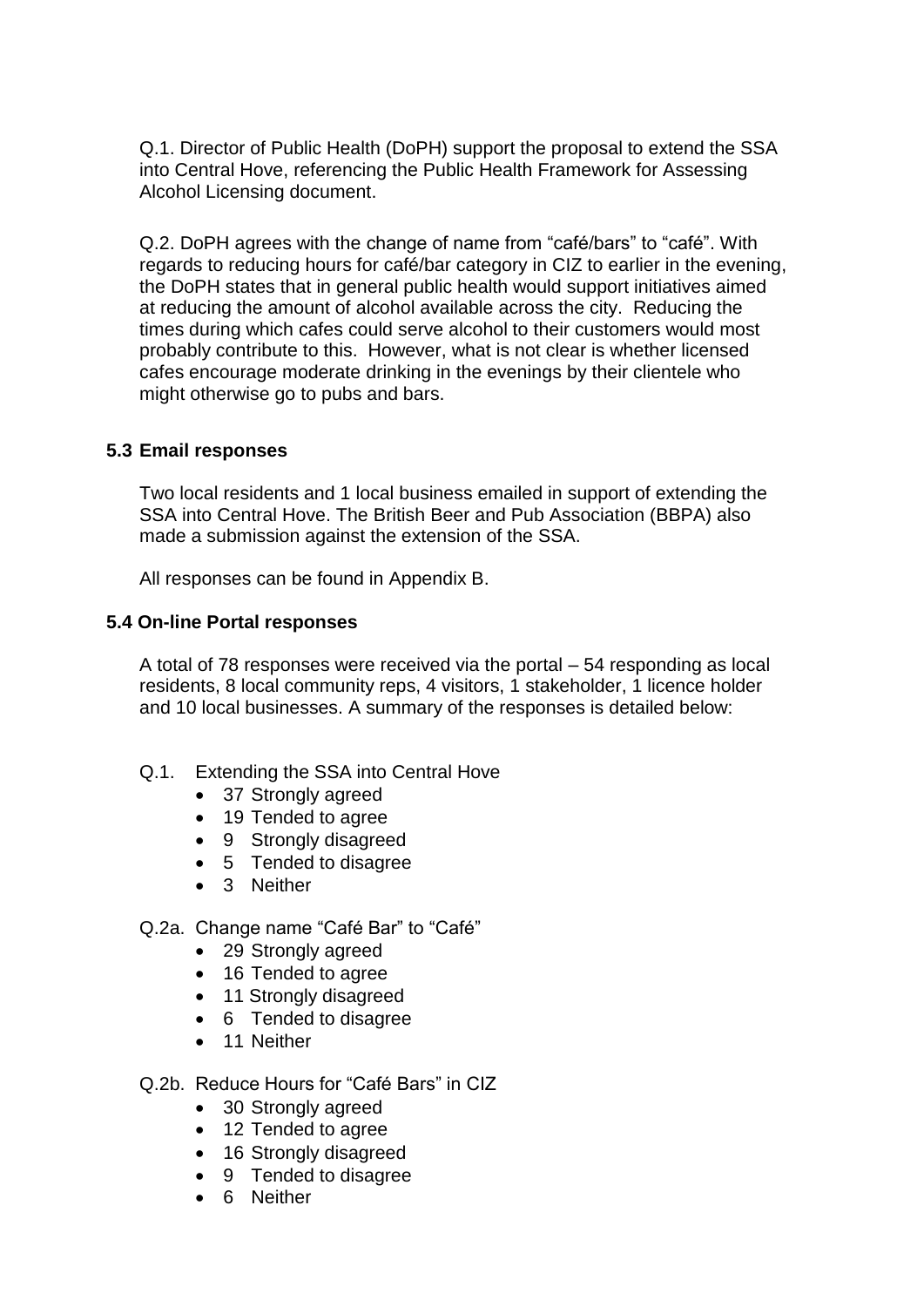Q.1. Director of Public Health (DoPH) support the proposal to extend the SSA into Central Hove, referencing the Public Health Framework for Assessing Alcohol Licensing document.

Q.2. DoPH agrees with the change of name from "café/bars" to "café". With regards to reducing hours for café/bar category in CIZ to earlier in the evening, the DoPH states that in general public health would support initiatives aimed at reducing the amount of alcohol available across the city. Reducing the times during which cafes could serve alcohol to their customers would most probably contribute to this. However, what is not clear is whether licensed cafes encourage moderate drinking in the evenings by their clientele who might otherwise go to pubs and bars.

## **5.3 Email responses**

Two local residents and 1 local business emailed in support of extending the SSA into Central Hove. The British Beer and Pub Association (BBPA) also made a submission against the extension of the SSA.

All responses can be found in Appendix B.

#### **5.4 On-line Portal responses**

A total of 78 responses were received via the portal – 54 responding as local residents, 8 local community reps, 4 visitors, 1 stakeholder, 1 licence holder and 10 local businesses. A summary of the responses is detailed below:

- Q.1. Extending the SSA into Central Hove
	- 37 Strongly agreed
	- 19 Tended to agree
	- 9 Strongly disagreed
	- 5 Tended to disagree
	- 3 Neither

#### Q.2a. Change name "Café Bar" to "Café"

- 29 Strongly agreed
- 16 Tended to agree
- 11 Strongly disagreed
- 6 Tended to disagree
- 11 Neither

## Q.2b. Reduce Hours for "Café Bars" in CIZ

- 30 Strongly agreed
- 12 Tended to agree
- 16 Strongly disagreed
- 9 Tended to disagree
- 6 Neither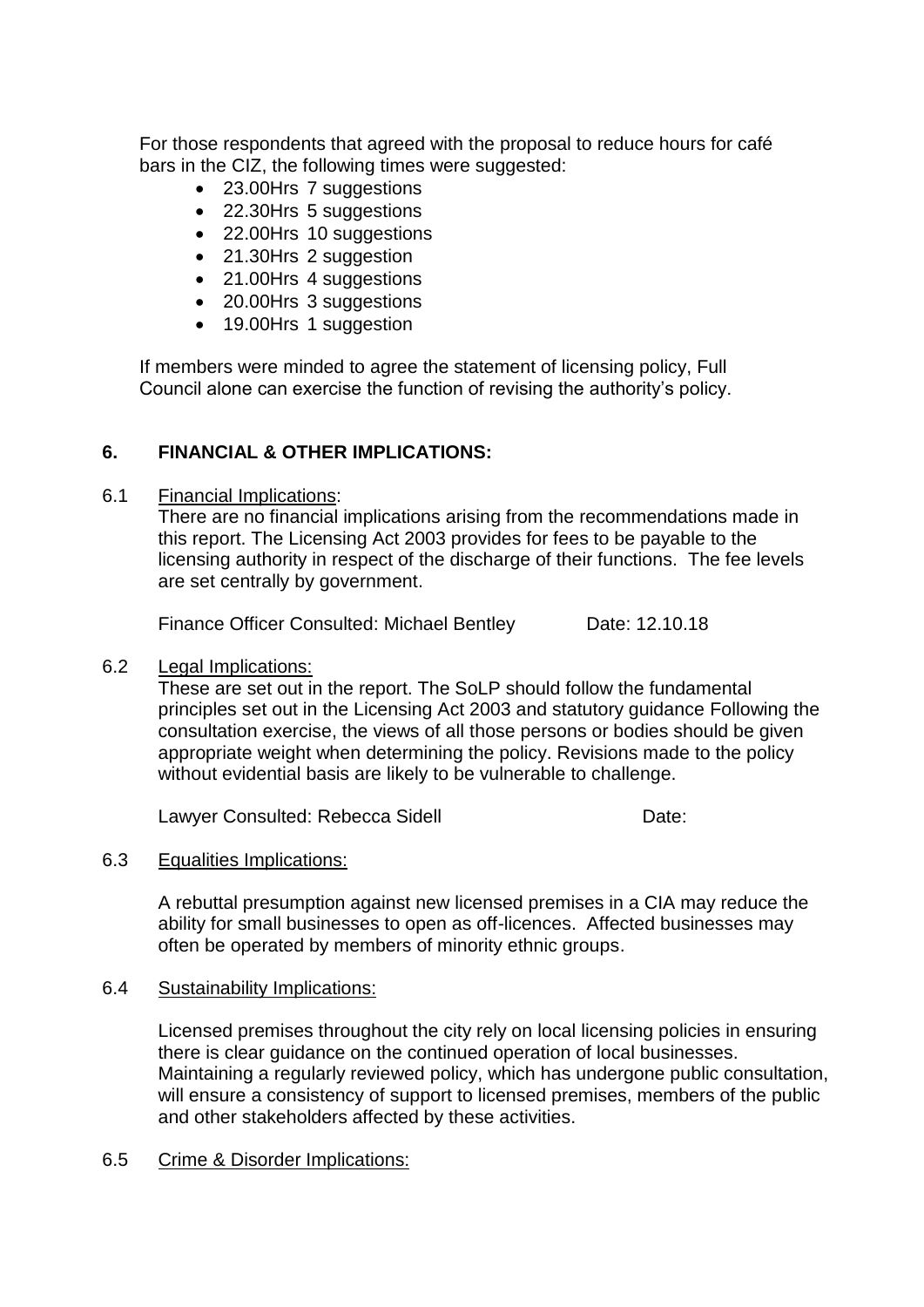For those respondents that agreed with the proposal to reduce hours for café bars in the CIZ, the following times were suggested:

- 23.00Hrs 7 suggestions
- 22.30Hrs 5 suggestions
- 22.00Hrs 10 suggestions
- 21.30Hrs 2 suggestion
- 21.00Hrs 4 suggestions
- 20.00Hrs 3 suggestions
- 19.00Hrs 1 suggestion

If members were minded to agree the statement of licensing policy, Full Council alone can exercise the function of revising the authority's policy.

# **6. FINANCIAL & OTHER IMPLICATIONS:**

6.1 Financial Implications:

There are no financial implications arising from the recommendations made in this report. The Licensing Act 2003 provides for fees to be payable to the licensing authority in respect of the discharge of their functions. The fee levels are set centrally by government.

Finance Officer Consulted: Michael Bentley Date: 12.10.18

## 6.2 Legal Implications:

These are set out in the report. The SoLP should follow the fundamental principles set out in the Licensing Act 2003 and statutory guidance Following the consultation exercise, the views of all those persons or bodies should be given appropriate weight when determining the policy. Revisions made to the policy without evidential basis are likely to be vulnerable to challenge.

Lawyer Consulted: Rebecca Sidell **Example 20** Date:

## 6.3 Equalities Implications:

A rebuttal presumption against new licensed premises in a CIA may reduce the ability for small businesses to open as off-licences. Affected businesses may often be operated by members of minority ethnic groups.

## 6.4 Sustainability Implications:

Licensed premises throughout the city rely on local licensing policies in ensuring there is clear guidance on the continued operation of local businesses. Maintaining a regularly reviewed policy, which has undergone public consultation, will ensure a consistency of support to licensed premises, members of the public and other stakeholders affected by these activities.

6.5 Crime & Disorder Implications: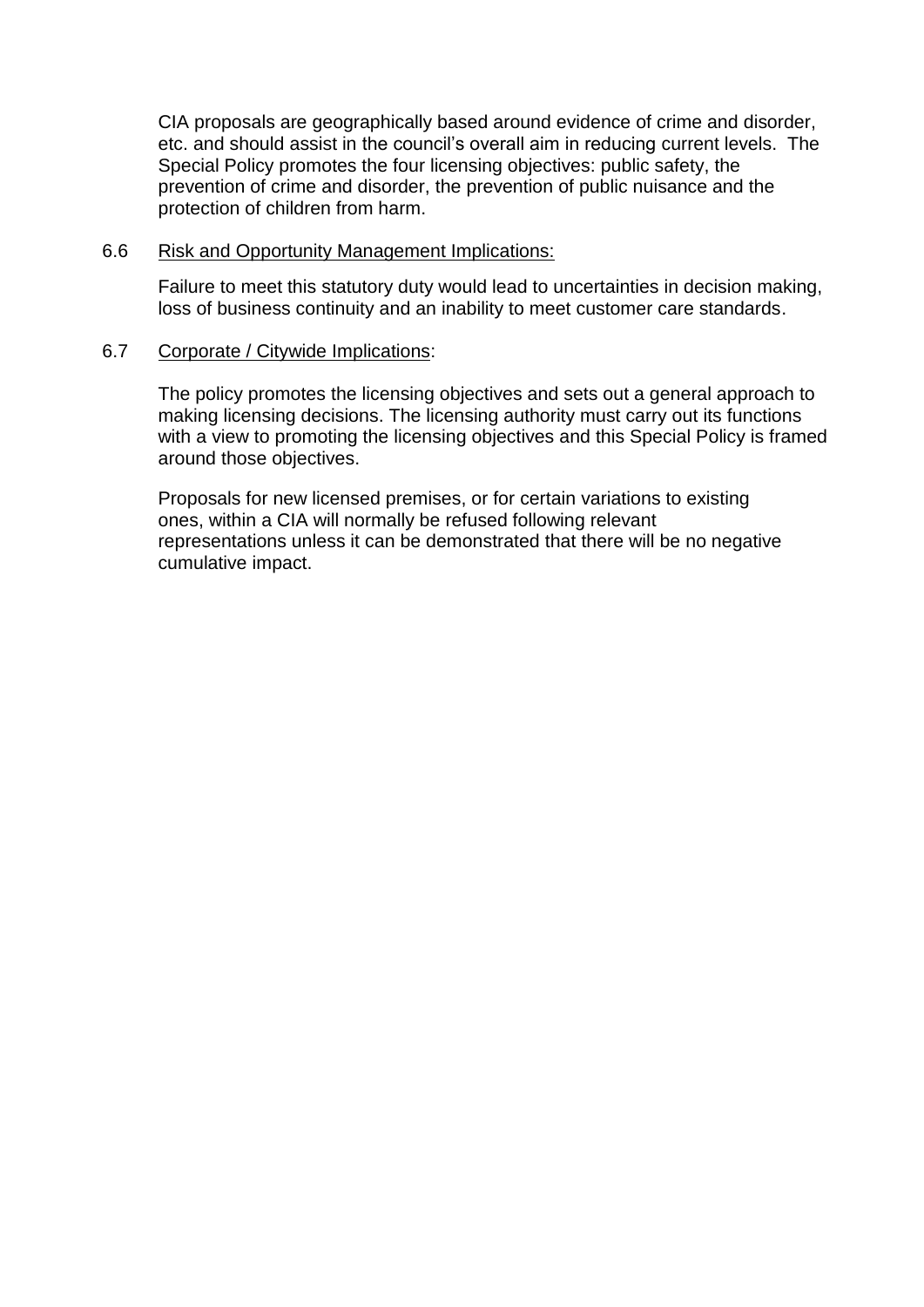CIA proposals are geographically based around evidence of crime and disorder, etc. and should assist in the council's overall aim in reducing current levels. The Special Policy promotes the four licensing objectives: public safety, the prevention of crime and disorder, the prevention of public nuisance and the protection of children from harm.

### 6.6 Risk and Opportunity Management Implications:

Failure to meet this statutory duty would lead to uncertainties in decision making, loss of business continuity and an inability to meet customer care standards.

#### 6.7 Corporate / Citywide Implications:

The policy promotes the licensing objectives and sets out a general approach to making licensing decisions. The licensing authority must carry out its functions with a view to promoting the licensing objectives and this Special Policy is framed around those objectives.

Proposals for new licensed premises, or for certain variations to existing ones, within a CIA will normally be refused following relevant representations unless it can be demonstrated that there will be no negative cumulative impact.